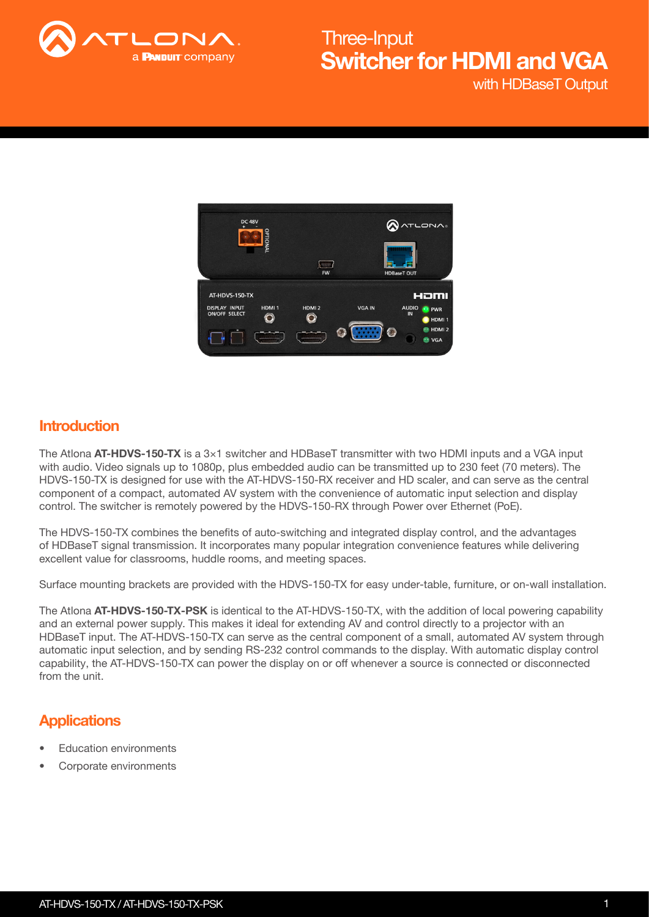

with HDBaseT Output Switcher for HDMI and VGA Three-Input



### **Introduction**

The Atlona  $AT-HDVS-150-TX$  is a  $3\times1$  switcher and HDBaseT transmitter with two HDMI inputs and a VGA input with audio. Video signals up to 1080p, plus embedded audio can be transmitted up to 230 feet (70 meters). The HDVS-150-TX is designed for use with the AT-HDVS-150-RX receiver and HD scaler, and can serve as the central component of a compact, automated AV system with the convenience of automatic input selection and display control. The switcher is remotely powered by the HDVS-150-RX through Power over Ethernet (PoE).

The HDVS-150-TX combines the benefits of auto-switching and integrated display control, and the advantages of HDBaseT signal transmission. It incorporates many popular integration convenience features while delivering excellent value for classrooms, huddle rooms, and meeting spaces.

Surface mounting brackets are provided with the HDVS-150-TX for easy under-table, furniture, or on-wall installation.

The Atlona AT-HDVS-150-TX-PSK is identical to the AT-HDVS-150-TX, with the addition of local powering capability and an external power supply. This makes it ideal for extending AV and control directly to a projector with an HDBaseT input. The AT-HDVS-150-TX can serve as the central component of a small, automated AV system through automatic input selection, and by sending RS-232 control commands to the display. With automatic display control capability, the AT-HDVS-150-TX can power the display on or off whenever a source is connected or disconnected from the unit

## **Applications**

- **Education environments**
- Corporate environments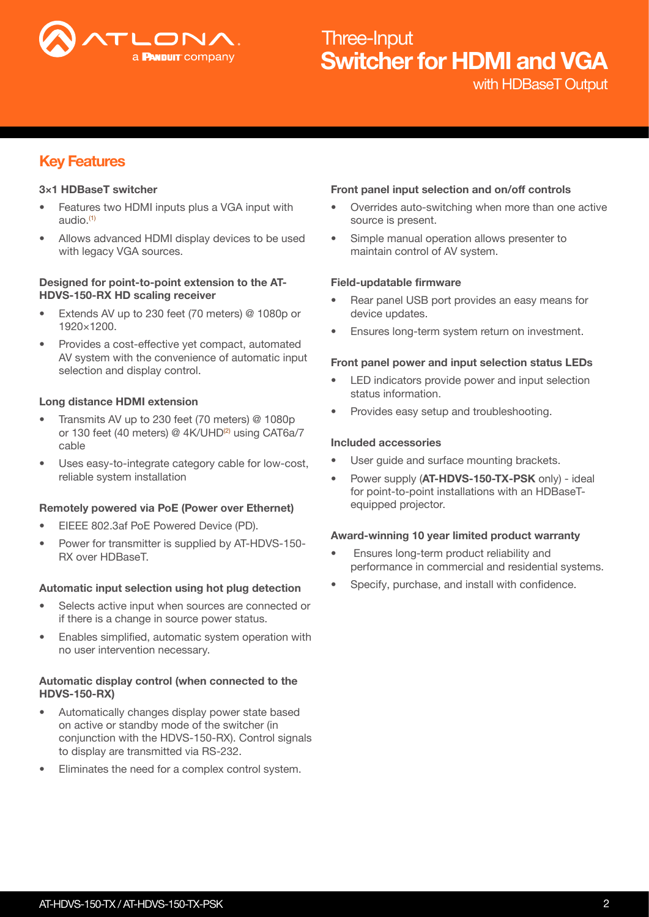

with HDBaseT Output

## Key Features

#### 3×1 HDBaseT switcher

- Features two HDMI inputs plus a VGA input with audio. $<sup>(1)</sup>$ </sup>
- Allows advanced HDMI display devices to be used with legacy VGA sources.

#### Designed for point-to-point extension to the AT-HDVS-150-RX HD scaling receiver

- Extends AV up to 230 feet (70 meters) @ 1080p or 1920×1200.
- Provides a cost-effective yet compact, automated AV system with the convenience of automatic input selection and display control.

#### Long distance HDMI extension

- Transmits AV up to 230 feet (70 meters) @ 1080p or 130 feet (40 meters) @ 4K/UHD<sup>(2)</sup> using CAT6a/7 cable
- Uses easy-to-integrate category cable for low-cost, reliable system installation

#### Remotely powered via PoE (Power over Ethernet)

- EIEEE 802.3af PoE Powered Device (PD).
- Power for transmitter is supplied by AT-HDVS-150- RX over HDBaseT.

#### Automatic input selection using hot plug detection

- Selects active input when sources are connected or if there is a change in source power status.
- Enables simplified, automatic system operation with no user intervention necessary.

#### Automatic display control (when connected to the HDVS-150-RX)

- Automatically changes display power state based on active or standby mode of the switcher (in conjunction with the HDVS-150-RX). Control signals to display are transmitted via RS-232.
- Eliminates the need for a complex control system.

#### Front panel input selection and on/off controls

- Overrides auto-switching when more than one active source is present.
- Simple manual operation allows presenter to maintain control of AV system.

#### Field-updatable firmware

- Rear panel USB port provides an easy means for device updates.
- Ensures long-term system return on investment.

#### Front panel power and input selection status LEDs

- LED indicators provide power and input selection status information.
- Provides easy setup and troubleshooting.

#### Included accessories

- User guide and surface mounting brackets.
- Power supply (AT-HDVS-150-TX-PSK only) ideal for point-to-point installations with an HDBaseTequipped projector.

#### Award-winning 10 year limited product warranty

- Ensures long-term product reliability and performance in commercial and residential systems.
- Specify, purchase, and install with confidence.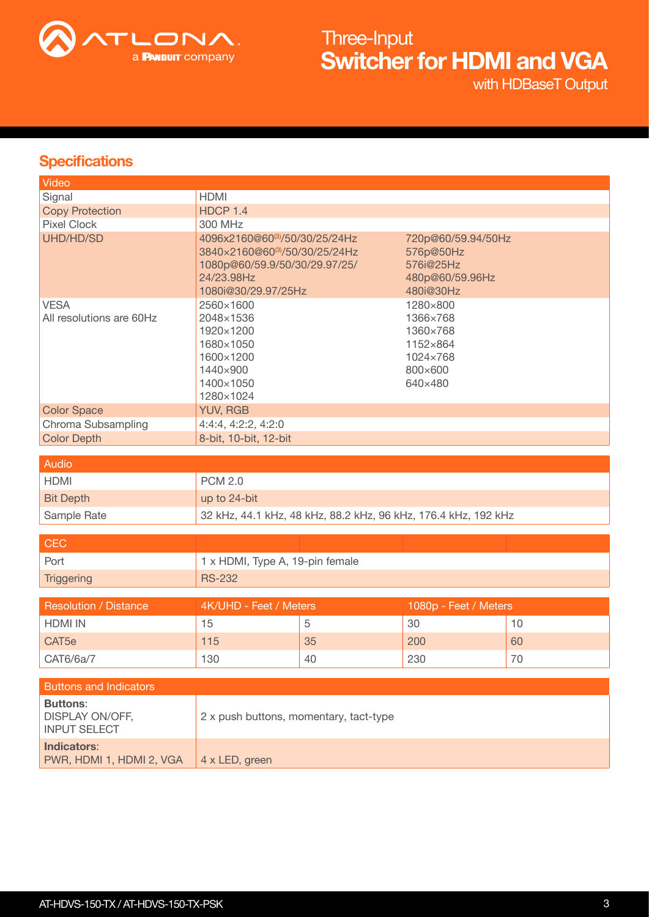

with HDBaseT Output

## **Specifications**

| Video                                                     |                                                                                                                                      |    |                                                                                |    |  |
|-----------------------------------------------------------|--------------------------------------------------------------------------------------------------------------------------------------|----|--------------------------------------------------------------------------------|----|--|
| Signal                                                    | <b>HDMI</b>                                                                                                                          |    |                                                                                |    |  |
| <b>Copy Protection</b>                                    | HDCP 1.4                                                                                                                             |    |                                                                                |    |  |
| <b>Pixel Clock</b>                                        | 300 MHz                                                                                                                              |    |                                                                                |    |  |
| UHD/HD/SD                                                 | 4096x2160@60(3)/50/30/25/24Hz<br>3840×2160@60(3)/50/30/25/24Hz<br>1080p@60/59.9/50/30/29.97/25/<br>24/23.98Hz<br>1080i@30/29.97/25Hz |    | 720p@60/59.94/50Hz<br>576p@50Hz<br>576i@25Hz<br>480p@60/59.96Hz<br>480i@30Hz   |    |  |
| <b>VESA</b><br>All resolutions are 60Hz                   | 2560×1600<br>2048×1536<br>1920×1200<br>1680×1050<br>1600×1200<br>1440×900<br>1400×1050<br>1280×1024                                  |    | 1280×800<br>1366×768<br>1360×768<br>1152×864<br>1024×768<br>800×600<br>640×480 |    |  |
| <b>Color Space</b>                                        | <b>YUV, RGB</b>                                                                                                                      |    |                                                                                |    |  |
| Chroma Subsampling                                        | 4:4:4, 4:2:2, 4:2:0                                                                                                                  |    |                                                                                |    |  |
| <b>Color Depth</b>                                        | 8-bit, 10-bit, 12-bit                                                                                                                |    |                                                                                |    |  |
| <b>Audio</b>                                              |                                                                                                                                      |    |                                                                                |    |  |
|                                                           |                                                                                                                                      |    |                                                                                |    |  |
| <b>HDMI</b>                                               | <b>PCM 2.0</b>                                                                                                                       |    |                                                                                |    |  |
| <b>Bit Depth</b>                                          | up to 24-bit                                                                                                                         |    |                                                                                |    |  |
| Sample Rate                                               | 32 kHz, 44.1 kHz, 48 kHz, 88.2 kHz, 96 kHz, 176.4 kHz, 192 kHz                                                                       |    |                                                                                |    |  |
|                                                           |                                                                                                                                      |    |                                                                                |    |  |
| <b>CEC</b>                                                |                                                                                                                                      |    |                                                                                |    |  |
| Port                                                      | 1 x HDMI, Type A, 19-pin female                                                                                                      |    |                                                                                |    |  |
| <b>Triggering</b>                                         | <b>RS-232</b>                                                                                                                        |    |                                                                                |    |  |
| <b>Resolution / Distance</b>                              | 4K/UHD - Feet / Meters                                                                                                               |    | 1080p - Feet / Meters                                                          |    |  |
| <b>HDMI IN</b>                                            | 15                                                                                                                                   | 5  | 30                                                                             | 10 |  |
|                                                           |                                                                                                                                      |    |                                                                                |    |  |
| CAT <sub>5e</sub>                                         | 115                                                                                                                                  | 35 | 200                                                                            | 60 |  |
| CAT6/6a/7                                                 | 130                                                                                                                                  | 40 | 230                                                                            | 70 |  |
|                                                           |                                                                                                                                      |    |                                                                                |    |  |
| <b>Buttons and Indicators</b>                             |                                                                                                                                      |    |                                                                                |    |  |
| <b>Buttons:</b><br>DISPLAY ON/OFF,<br><b>INPUT SELECT</b> | 2 x push buttons, momentary, tact-type                                                                                               |    |                                                                                |    |  |
| <b>Indicators:</b><br>PWR, HDMI 1, HDMI 2, VGA            | 4 x LED, green                                                                                                                       |    |                                                                                |    |  |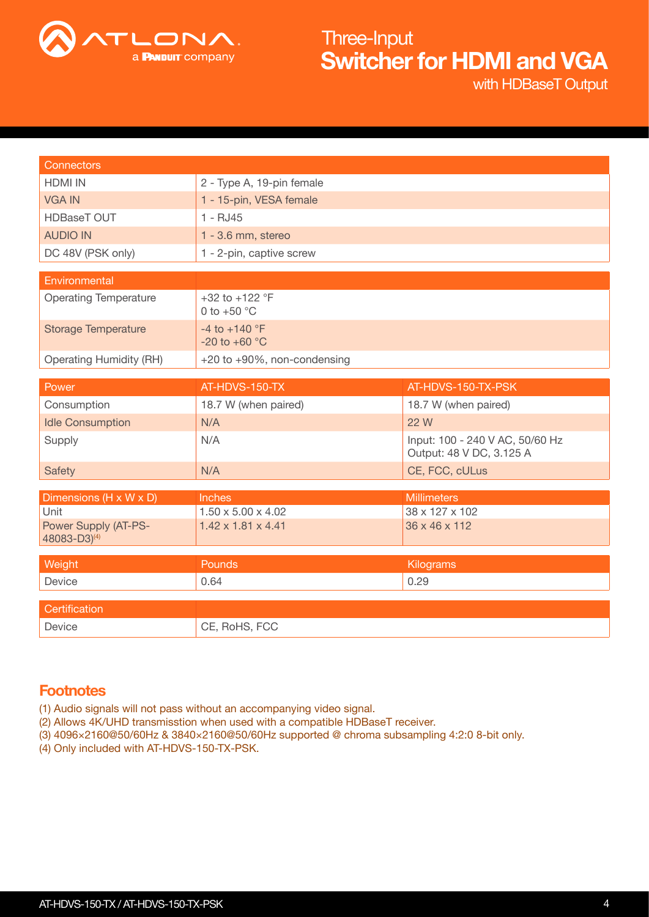

with HDBaseT Output

| <b>Connectors</b>                                       |                                                    |                                                             |  |  |
|---------------------------------------------------------|----------------------------------------------------|-------------------------------------------------------------|--|--|
| <b>HDMI IN</b>                                          | 2 - Type A, 19-pin female                          |                                                             |  |  |
| <b>VGA IN</b>                                           | 1 - 15-pin, VESA female                            |                                                             |  |  |
| <b>HDBaseT OUT</b>                                      | $1 - RJ45$                                         |                                                             |  |  |
| <b>AUDIO IN</b>                                         | 1 - 3.6 mm, stereo                                 |                                                             |  |  |
| DC 48V (PSK only)                                       | 1 - 2-pin, captive screw                           |                                                             |  |  |
| Environmental                                           |                                                    |                                                             |  |  |
|                                                         |                                                    |                                                             |  |  |
| <b>Operating Temperature</b>                            | +32 to +122 $^{\circ}$ F<br>0 to $+50$ °C          |                                                             |  |  |
| <b>Storage Temperature</b>                              | -4 to +140 $^{\circ}$ F<br>-20 to +60 $^{\circ}$ C |                                                             |  |  |
| <b>Operating Humidity (RH)</b>                          | +20 to +90%, non-condensing                        |                                                             |  |  |
|                                                         |                                                    |                                                             |  |  |
| Power                                                   | AT-HDVS-150-TX                                     | AT-HDVS-150-TX-PSK                                          |  |  |
| Consumption                                             | 18.7 W (when paired)                               | 18.7 W (when paired)                                        |  |  |
| <b>Idle Consumption</b>                                 | N/A                                                | 22 W                                                        |  |  |
| Supply                                                  | N/A                                                | Input: 100 - 240 V AC, 50/60 Hz<br>Output: 48 V DC, 3.125 A |  |  |
| <b>Safety</b>                                           | N/A                                                | CE, FCC, cULus                                              |  |  |
|                                                         |                                                    |                                                             |  |  |
| Dimensions (H x W x D)                                  | <b>Inches</b>                                      | <b>Millimeters</b>                                          |  |  |
| Unit                                                    | $1.50 \times 5.00 \times 4.02$                     | 38 x 127 x 102                                              |  |  |
| <b>Power Supply (AT-PS-</b><br>48083-D3) <sup>(4)</sup> | 1.42 x 1.81 x 4.41                                 | 36 x 46 x 112                                               |  |  |
|                                                         |                                                    |                                                             |  |  |
| Weight                                                  | Pounds                                             | Kilograms                                                   |  |  |
| Device                                                  | 0.64<br>0.29                                       |                                                             |  |  |
| Certification                                           |                                                    |                                                             |  |  |
| Device                                                  | CE, RoHS, FCC                                      |                                                             |  |  |

## **Footnotes**

(1) Audio signals will not pass without an accompanying video signal.

- (2) Allows 4K/UHD transmisstion when used with a compatible HDBaseT receiver.
- (3) 4096×2160@50/60Hz & 3840×2160@50/60Hz supported @ chroma subsampling 4:2:0 8-bit only.
- (4) Only included with AT-HDVS-150-TX-PSK.